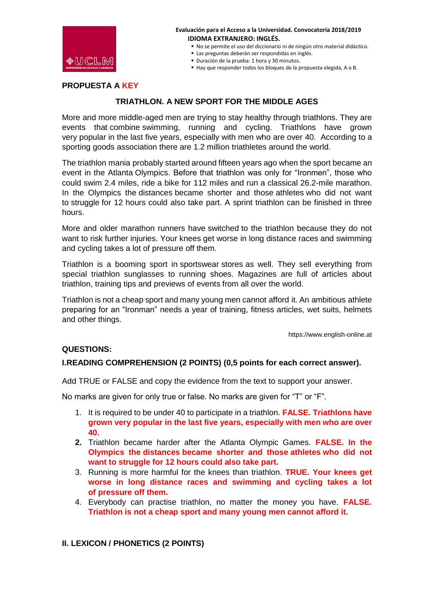

- No se permite el uso del diccionario ni de ningún otro material didáctico.
- Las preguntas deberán ser respondidas en inglés.
- Duración de la prueba: 1 hora y 30 minutos.
- Hay que responder todos los bloques de la propuesta elegida, A o B.

### **PROPUESTA A KEY**

# **TRIATHLON. A NEW SPORT FOR THE MIDDLE AGES**

More and more middle-aged men are trying to stay healthy through triathlons. They are events that combine swimming, running and cycling. Triathlons have grown very popular in the last five years, especially with men who are over 40. According to a sporting goods association there are 1.2 million triathletes around the world.

The triathlon mania probably started around fifteen years ago when the sport became an event in the Atlanta Olympics. Before that triathlon was only for "Ironmen", those who could swim 2.4 miles, ride a bike for 112 miles and run a classical 26.2-mile marathon. In the Olympics the distances became shorter and those athletes who did not want to struggle for 12 hours could also take part. A sprint triathlon can be finished in three hours.

More and older marathon runners have switched to the triathlon because they do not want to risk further injuries. Your knees get worse in long distance races and swimming and cycling takes a lot of pressure off them.

Triathlon is a booming sport in sportswear stores as well. They sell everything from special triathlon sunglasses to running shoes. Magazines are full of articles about triathlon, training tips and previews of events from all over the world.

Triathlon is not a cheap sport and many young men cannot afford it. An ambitious athlete preparing for an "Ironman" needs a year of training, fitness articles, wet suits, helmets and other things.

https://www.english-online.at

#### **QUESTIONS:**

#### **I.READING COMPREHENSION (2 POINTS) (0,5 points for each correct answer).**

Add TRUE or FALSE and copy the evidence from the text to support your answer.

No marks are given for only true or false. No marks are given for "T" or "F".

- 1. It is required to be under 40 to participate in a triathlon. **FALSE. Triathlons have grown very popular in the last five years, especially with men who are over 40.**
- **2.** Triathlon became harder after the Atlanta Olympic Games. **FALSE. In the Olympics the distances became shorter and those athletes who did not want to struggle for 12 hours could also take part.**
- 3. Running is more harmful for the knees than triathlon. **TRUE. Your knees get worse in long distance races and swimming and cycling takes a lot of pressure off them.**
- 4. Everybody can practise triathlon, no matter the money you have. **FALSE. Triathlon is not a cheap sport and many young men cannot afford it.**

# **II. LEXICON / PHONETICS (2 POINTS)**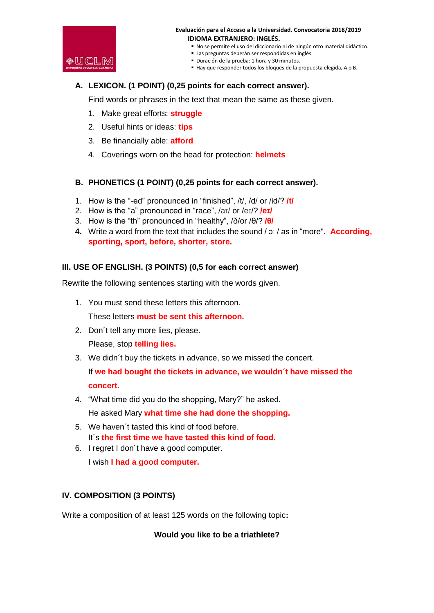

- No se permite el uso del diccionario ni de ningún otro material didáctico.
- Las preguntas deberán ser respondidas en inglés.
- Duración de la prueba: 1 hora y 30 minutos.
- Hay que responder todos los bloques de la propuesta elegida, A o B.

# **A. LEXICON. (1 POINT) (0,25 points for each correct answer).**

Find words or phrases in the text that mean the same as these given.

- 1. Make great efforts: **struggle**
- 2. Useful hints or ideas: **tips**
- 3. Be financially able: **afford**
- 4. Coverings worn on the head for protection: **helmets**

### **B. PHONETICS (1 POINT) (0,25 points for each correct answer).**

- 1. How is the "-ed" pronounced in "finished", /t/, /d/ or /id/? **/t/**
- 2. How is the "a" pronounced in "race", /aɪ/ or /eɪ/? **/eɪ/**
- 3. How is the "th" pronounced in "healthy", /ð/or /θ/? **/θ/**
- **4.** Write a word from the text that includes the sound  $\alpha$  / as in "more". **According, sporting, sport, before, shorter, store.**

### **III. USE OF ENGLISH. (3 POINTS) (0,5 for each correct answer)**

Rewrite the following sentences starting with the words given.

1. You must send these letters this afternoon.

These letters **must be sent this afternoon.**

2. Don´t tell any more lies, please.

Please, stop **telling lies.**

3. We didn´t buy the tickets in advance, so we missed the concert.

If **we had bought the tickets in advance, we wouldn´t have missed the concert.**

- 4. "What time did you do the shopping, Mary?" he asked. He asked Mary **what time she had done the shopping.**
- 5. We haven´t tasted this kind of food before. It´s **the first time we have tasted this kind of food.**
- 6. I regret I don´t have a good computer.

I wish **I had a good computer.**

# **IV. COMPOSITION (3 POINTS)**

Write a composition of at least 125 words on the following topic**:** 

**Would you like to be a triathlete?**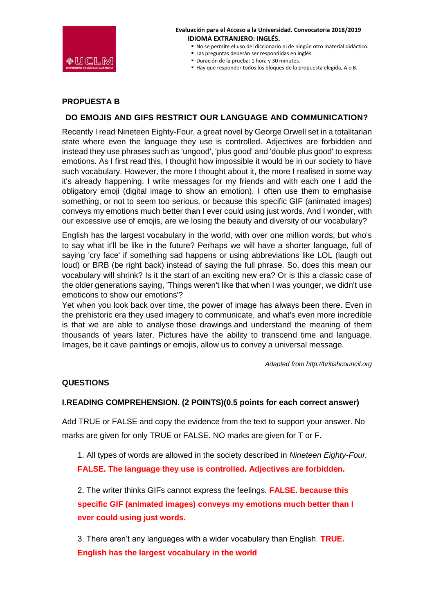

- No se permite el uso del diccionario ni de ningún otro material didáctico.
- Las preguntas deberán ser respondidas en inglés.
- Duración de la prueba: 1 hora y 30 minutos.
- Hay que responder todos los bloques de la propuesta elegida, A o B.

### **PROPUESTA B**

### **DO EMOJIS AND GIFS RESTRICT OUR LANGUAGE AND COMMUNICATION?**

Recently I read Nineteen Eighty-Four, a great novel by George Orwell set in a totalitarian state where even the language they use is controlled. Adjectives are forbidden and instead they use phrases such as 'ungood', 'plus good' and 'double plus good' to express emotions. As I first read this, I thought how impossible it would be in our society to have such vocabulary. However, the more I thought about it, the more I realised in some way it's already happening. I write messages for my friends and with each one I add the obligatory emoji (digital image to show an emotion). I often use them to emphasise something, or not to seem too serious, or because this specific GIF (animated images) conveys my emotions much better than I ever could using just words. And I wonder, with our excessive use of emojis, are we losing the beauty and diversity of our vocabulary?

English has the largest vocabulary in the world, with over one million words, but who's to say what it'll be like in the future? Perhaps we will have a shorter language, full of saying 'cry face' if something sad happens or using abbreviations like LOL (laugh out loud) or BRB (be right back) instead of saying the full phrase. So, does this mean our vocabulary will shrink? Is it the start of an exciting new era? Or is this a classic case of the older generations saying, 'Things weren't like that when I was younger, we didn't use emoticons to show our emotions'?

Yet when you look back over time, the power of image has always been there. Even in the prehistoric era they used imagery to communicate, and what's even more incredible is that we are able to analyse those drawings and understand the meaning of them thousands of years later. Pictures have the ability to transcend time and language. Images, be it cave paintings or emojis, allow us to convey a universal message.

 *Adapted from http://britishcouncil.org*

#### **QUESTIONS**

### **I.READING COMPREHENSION. (2 POINTS)(0.5 points for each correct answer)**

Add TRUE or FALSE and copy the evidence from the text to support your answer. No marks are given for only TRUE or FALSE. NO marks are given for T or F.

1. All types of words are allowed in the society described in *Nineteen Eighty-Four.* **FALSE. The language they use is controlled. Adjectives are forbidden.**

2. The writer thinks GIFs cannot express the feelings. **FALSE. because this specific GIF (animated images) conveys my emotions much better than I ever could using just words.**

3. There aren't any languages with a wider vocabulary than English. **TRUE. English has the largest vocabulary in the world**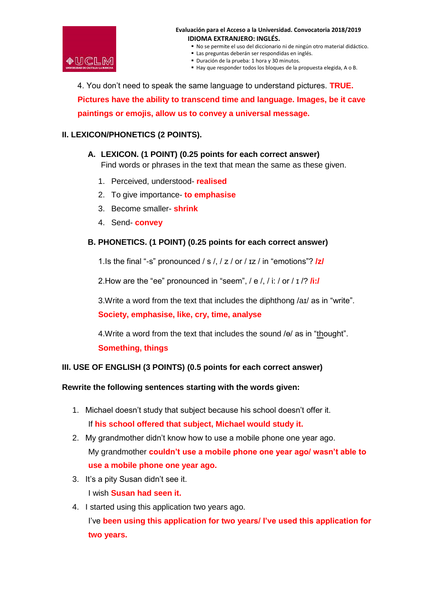

- No se permite el uso del diccionario ni de ningún otro material didáctico.
- Las preguntas deberán ser respondidas en inglés.
- Duración de la prueba: 1 hora y 30 minutos.
- Hay que responder todos los bloques de la propuesta elegida, A o B.

4. You don't need to speak the same language to understand pictures. **TRUE. Pictures have the ability to transcend time and language. Images, be it cave paintings or emojis, allow us to convey a universal message.**

# **II. LEXICON/PHONETICS (2 POINTS).**

# **A. LEXICON. (1 POINT) (0.25 points for each correct answer)**

Find words or phrases in the text that mean the same as these given.

- 1. Perceived, understood- **realised**
- 2. To give importance- **to emphasise**
- 3. Become smaller- **shrink**
- 4. Send- **convey**

# **B. PHONETICS. (1 POINT) (0.25 points for each correct answer)**

1.Is the final "-s" pronounced / s /, / z / or / ɪz / in "emotions"? **/z/**

2.How are the "ee" pronounced in "seem", / e /, / i: / or / ɪ /? **/i:/**

3.Write a word from the text that includes the diphthong /aɪ/ as in "write". **Society, emphasise, like, cry, time, analyse**

4.Write a word from the text that includes the sound /ɵ/ as in "thought". **Something, things**

# **III. USE OF ENGLISH (3 POINTS) (0.5 points for each correct answer)**

# **Rewrite the following sentences starting with the words given:**

- 1. Michael doesn't study that subject because his school doesn't offer it. If **his school offered that subject, Michael would study it.**
- 2. My grandmother didn't know how to use a mobile phone one year ago. My grandmother **couldn't use a mobile phone one year ago/ wasn't able to use a mobile phone one year ago.**
- 3. It's a pity Susan didn't see it. I wish **Susan had seen it.**
- 4. I started using this application two years ago. I've **been using this application for two years/ I've used this application for two years.**